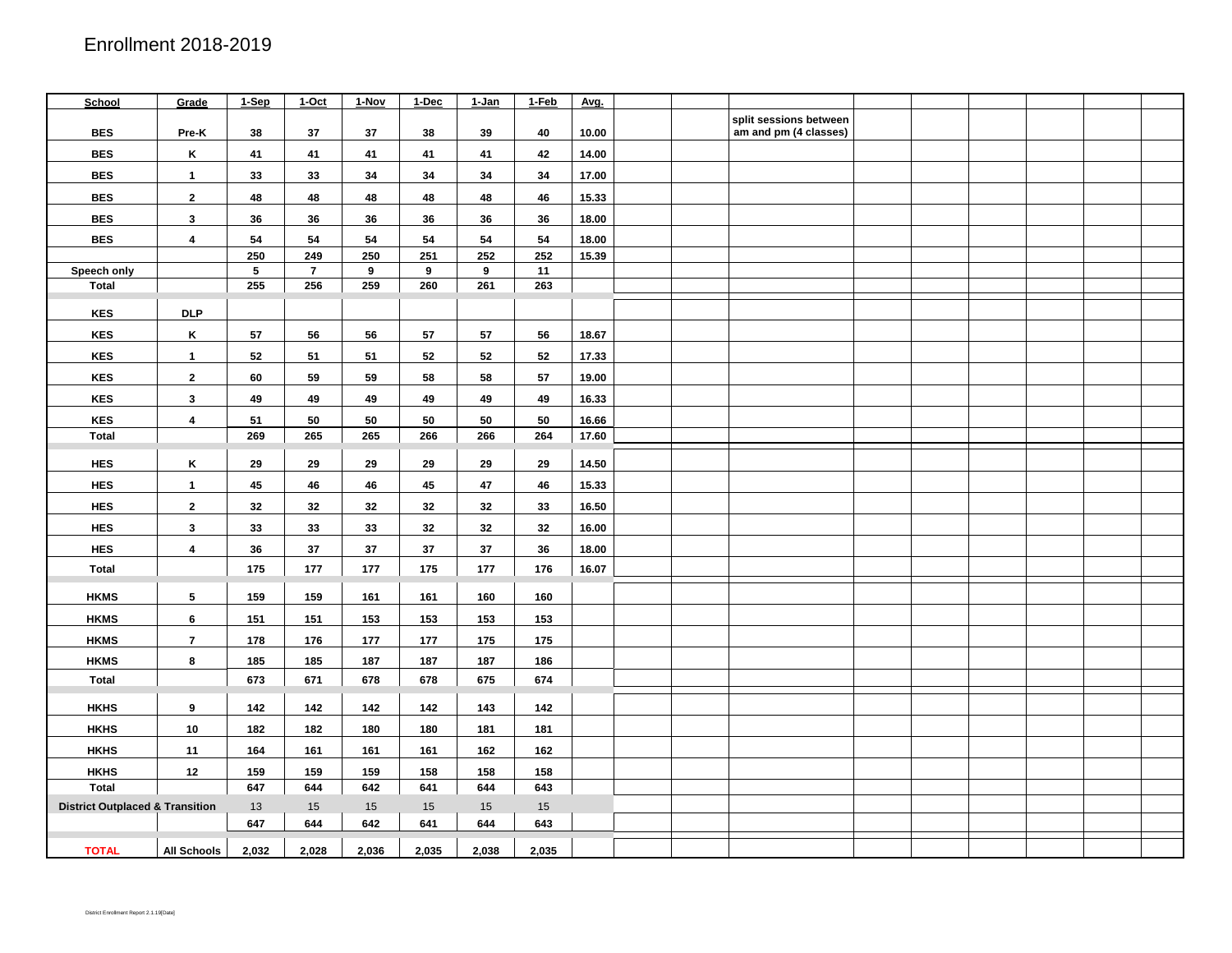| School                                     | Grade                   | 1-Sep | 1-Oct          | 1-Nov | 1-Dec | 1-Jan | 1-Feb      | Avg.  |  |                                                 |  |  |  |
|--------------------------------------------|-------------------------|-------|----------------|-------|-------|-------|------------|-------|--|-------------------------------------------------|--|--|--|
| <b>BES</b>                                 | Pre-K                   | 38    | 37             | 37    | 38    | 39    | 40         | 10.00 |  | split sessions between<br>am and pm (4 classes) |  |  |  |
| <b>BES</b>                                 | Κ                       | 41    | 41             | 41    | 41    | 41    | 42         | 14.00 |  |                                                 |  |  |  |
| <b>BES</b>                                 | $\mathbf{1}$            | 33    | 33             | 34    | 34    | 34    | 34         | 17.00 |  |                                                 |  |  |  |
| <b>BES</b>                                 | $\mathbf{2}$            | 48    | 48             | 48    | 48    | 48    | 46         | 15.33 |  |                                                 |  |  |  |
| <b>BES</b>                                 | $\mathbf{3}$            | 36    | 36             | 36    | 36    | 36    | 36         | 18.00 |  |                                                 |  |  |  |
| <b>BES</b>                                 | 4                       | 54    | 54             | 54    | 54    | 54    | 54         | 18.00 |  |                                                 |  |  |  |
|                                            |                         | 250   | 249            | 250   | 251   | 252   | 252        | 15.39 |  |                                                 |  |  |  |
| Speech only                                |                         | 5     | $\overline{7}$ | 9     | 9     | 9     | 11         |       |  |                                                 |  |  |  |
| <b>Total</b>                               |                         | 255   | 256            | 259   | 260   | 261   | 263        |       |  |                                                 |  |  |  |
| <b>KES</b>                                 | <b>DLP</b>              |       |                |       |       |       |            |       |  |                                                 |  |  |  |
| <b>KES</b>                                 | Κ                       | 57    | 56             | 56    | 57    | 57    | 56         | 18.67 |  |                                                 |  |  |  |
| <b>KES</b>                                 | $\mathbf{1}$            | 52    | 51             | 51    | 52    | 52    | 52         | 17.33 |  |                                                 |  |  |  |
| <b>KES</b>                                 | $\mathbf{2}$            | 60    | 59             | 59    | 58    | 58    | ${\bf 57}$ | 19.00 |  |                                                 |  |  |  |
| <b>KES</b>                                 | $\mathbf{3}$            | 49    | 49             | 49    | 49    | 49    | 49         | 16.33 |  |                                                 |  |  |  |
| <b>KES</b>                                 | $\overline{\mathbf{4}}$ | 51    | 50             | 50    | 50    | 50    | 50         | 16.66 |  |                                                 |  |  |  |
| <b>Total</b>                               |                         | 269   | 265            | 265   | 266   | 266   | 264        | 17.60 |  |                                                 |  |  |  |
| <b>HES</b>                                 | Κ                       | 29    | 29             | 29    | 29    | 29    | 29         | 14.50 |  |                                                 |  |  |  |
| <b>HES</b>                                 | $\mathbf{1}$            | 45    | 46             | 46    | 45    | 47    | 46         | 15.33 |  |                                                 |  |  |  |
| <b>HES</b>                                 | $\mathbf{2}$            | 32    | 32             | 32    | 32    | 32    | 33         | 16.50 |  |                                                 |  |  |  |
| <b>HES</b>                                 | $\mathbf{3}$            | 33    | 33             | 33    | 32    | 32    | 32         | 16.00 |  |                                                 |  |  |  |
| <b>HES</b>                                 | $\overline{\mathbf{4}}$ | 36    | 37             | 37    | 37    | 37    | 36         | 18.00 |  |                                                 |  |  |  |
| <b>Total</b>                               |                         | 175   | 177            | 177   | 175   | 177   | 176        | 16.07 |  |                                                 |  |  |  |
| <b>HKMS</b>                                | 5                       | 159   | 159            | 161   | 161   | 160   | 160        |       |  |                                                 |  |  |  |
| <b>HKMS</b>                                | 6                       | 151   | 151            | 153   | 153   | 153   | 153        |       |  |                                                 |  |  |  |
| <b>HKMS</b>                                | $\overline{7}$          | 178   | 176            | 177   | 177   | 175   | 175        |       |  |                                                 |  |  |  |
| <b>HKMS</b>                                | 8                       | 185   | 185            | 187   | 187   | 187   | 186        |       |  |                                                 |  |  |  |
| <b>Total</b>                               |                         | 673   | 671            | 678   | 678   | 675   | 674        |       |  |                                                 |  |  |  |
| <b>HKHS</b>                                | 9                       | 142   | 142            | 142   | 142   | 143   | 142        |       |  |                                                 |  |  |  |
| <b>HKHS</b>                                | 10                      | 182   | 182            | 180   | 180   | 181   | 181        |       |  |                                                 |  |  |  |
| <b>HKHS</b>                                | 11                      | 164   | 161            | 161   | 161   | 162   | 162        |       |  |                                                 |  |  |  |
| <b>HKHS</b>                                | 12                      | 159   | 159            | 159   | 158   | 158   | 158        |       |  |                                                 |  |  |  |
| <b>Total</b>                               |                         | 647   | 644            | 642   | 641   | 644   | 643        |       |  |                                                 |  |  |  |
| <b>District Outplaced &amp; Transition</b> |                         | 13    | 15             | 15    | 15    | 15    | 15         |       |  |                                                 |  |  |  |
|                                            |                         | 647   | 644            | 642   | 641   | 644   | 643        |       |  |                                                 |  |  |  |
| <b>TOTAL</b>                               | <b>All Schools</b>      | 2,032 | 2,028          | 2,036 | 2,035 | 2,038 | 2,035      |       |  |                                                 |  |  |  |